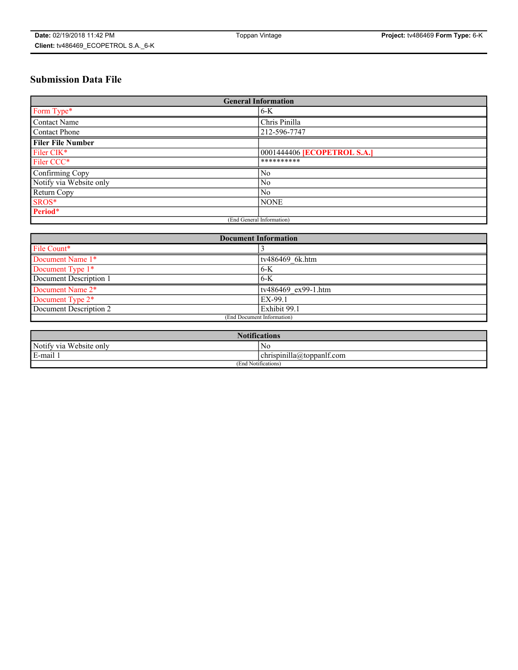# **Submission Data File**

| <b>General Information</b> |                                    |
|----------------------------|------------------------------------|
| Form Type*                 | $6-K$                              |
| Contact Name               | Chris Pinilla                      |
| Contact Phone              | 212-596-7747                       |
| <b>Filer File Number</b>   |                                    |
| Filer CIK*                 | 0001444406 <b>[ECOPETROL S.A.]</b> |
| Filer CCC*                 | **********                         |
| Confirming Copy            | N <sub>0</sub>                     |
| Notify via Website only    | N <sub>0</sub>                     |
| Return Copy                | N <sub>0</sub>                     |
| SROS*                      | <b>NONE</b>                        |
| Period*                    |                                    |
| (End General Information)  |                                    |

| <b>Document Information</b> |                     |
|-----------------------------|---------------------|
| File Count*                 |                     |
| Document Name 1*            | tv486469 6k.htm     |
| Document Type 1*            | $6-K$               |
| Document Description 1      | $6-K$               |
| Document Name 2*            | tv486469 ex99-1.htm |
| Document Type 2*            | EX-99.1             |
| Document Description 2      | Exhibit 99.1        |
| (End Document Information)  |                     |

| <b>Notifications</b>    |                           |  |
|-------------------------|---------------------------|--|
| Notify via Website only | No                        |  |
| E-mail 1                | chrispinilla@toppanlf.com |  |
| (End Notifications)     |                           |  |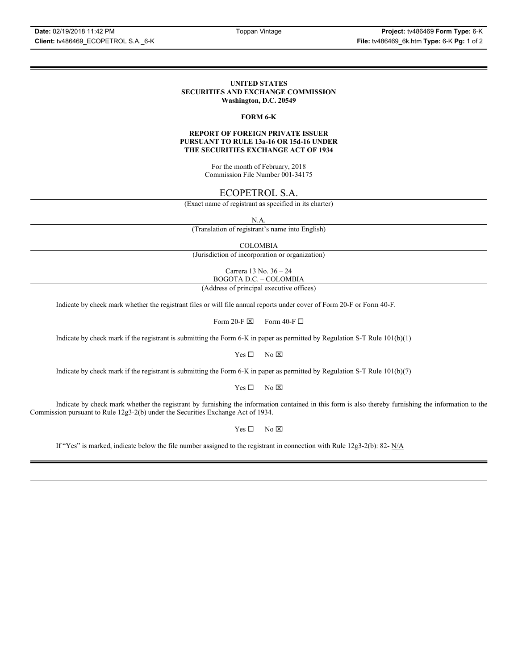#### **UNITED STATES SECURITIES AND EXCHANGE COMMISSION Washington, D.C. 20549**

### **FORM 6-K**

#### **REPORT OF FOREIGN PRIVATE ISSUER PURSUANT TO RULE 13a-16 OR 15d-16 UNDER THE SECURITIES EXCHANGE ACT OF 1934**

For the month of February, 2018 Commission File Number 001-34175

## ECOPETROL S.A.

(Exact name of registrant as specified in its charter)

N.A.

(Translation of registrant's name into English)

COLOMBIA

(Jurisdiction of incorporation or organization)

Carrera 13 No. 36 – 24 BOGOTA D.C. – COLOMBIA

(Address of principal executive offices)

Indicate by check mark whether the registrant files or will file annual reports under cover of Form 20-F or Form 40-F.

Form 20-F  $\boxtimes$  Form 40-F  $\Box$ 

Indicate by check mark if the registrant is submitting the Form 6-K in paper as permitted by Regulation S-T Rule 101(b)(1)

 $Yes \Box$  No  $\boxtimes$ 

Indicate by check mark if the registrant is submitting the Form 6-K in paper as permitted by Regulation S-T Rule 101(b)(7)

 $Yes \Box$  No  $\boxtimes$ 

Indicate by check mark whether the registrant by furnishing the information contained in this form is also thereby furnishing the information to the Commission pursuant to Rule 12g3-2(b) under the Securities Exchange Act of 1934.

 $Yes \Box$  No  $\boxtimes$ 

If "Yes" is marked, indicate below the file number assigned to the registrant in connection with Rule 12g3-2(b): 82-  $N/A$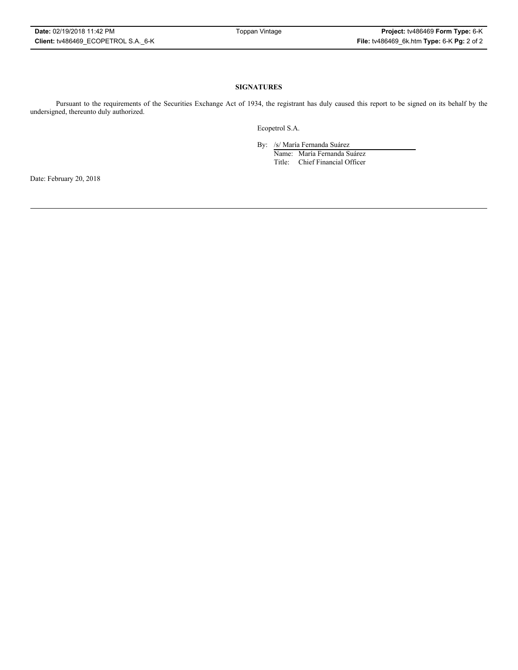## **SIGNATURES**

Pursuant to the requirements of the Securities Exchange Act of 1934, the registrant has duly caused this report to be signed on its behalf by the undersigned, thereunto duly authorized.

Ecopetrol S.A.

By: /s/ María Fernanda Suárez

Name: María Fernanda Suárez Title: Chief Financial Officer

Date: February 20, 2018